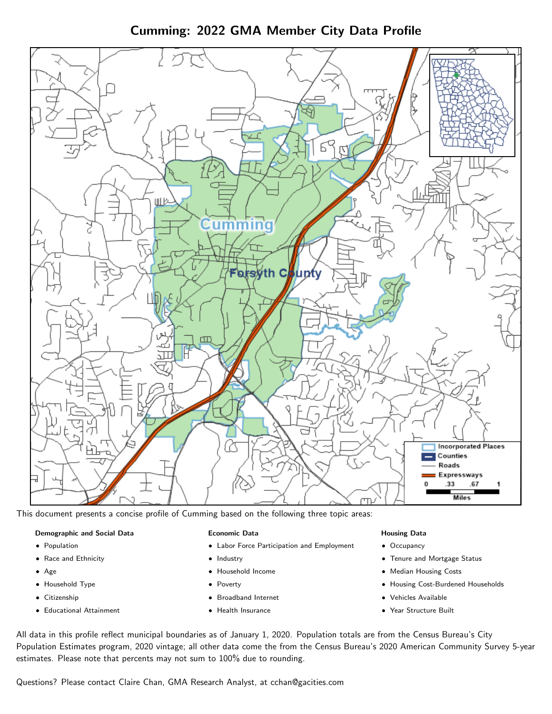Cumming: 2022 GMA Member City Data Profile



This document presents a concise profile of Cumming based on the following three topic areas:

### Demographic and Social Data

- **•** Population
- Race and Ethnicity
- Age
- Household Type
- **Citizenship**
- Educational Attainment

#### Economic Data

- Labor Force Participation and Employment
- Industry
- Household Income
- Poverty
- Broadband Internet
- Health Insurance

#### Housing Data

- Occupancy
- Tenure and Mortgage Status
- Median Housing Costs
- Housing Cost-Burdened Households
- Vehicles Available
- Year Structure Built

All data in this profile reflect municipal boundaries as of January 1, 2020. Population totals are from the Census Bureau's City Population Estimates program, 2020 vintage; all other data come the from the Census Bureau's 2020 American Community Survey 5-year estimates. Please note that percents may not sum to 100% due to rounding.

Questions? Please contact Claire Chan, GMA Research Analyst, at [cchan@gacities.com.](mailto:cchan@gacities.com)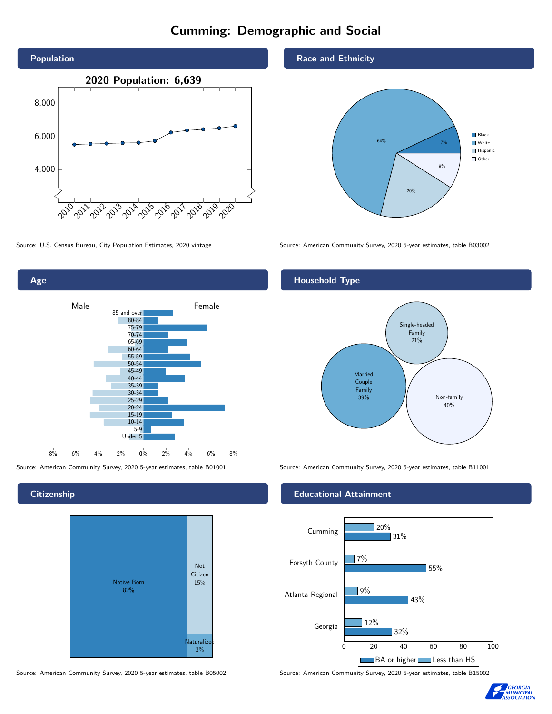## Cumming: Demographic and Social





**Citizenship** 



Source: American Community Survey, 2020 5-year estimates, table B05002 Source: American Community Survey, 2020 5-year estimates, table B15002

Race and Ethnicity



Source: U.S. Census Bureau, City Population Estimates, 2020 vintage Source: American Community Survey, 2020 5-year estimates, table B03002

### Household Type



Source: American Community Survey, 2020 5-year estimates, table B01001 Source: American Community Survey, 2020 5-year estimates, table B11001

#### Educational Attainment



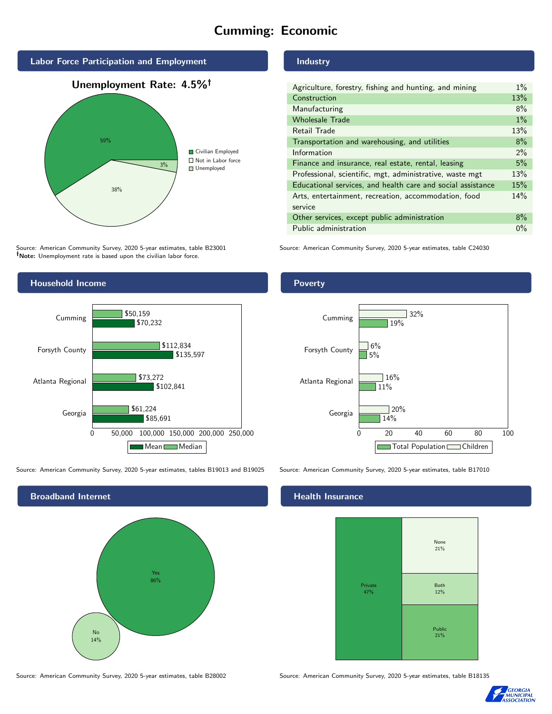# Cumming: Economic



Source: American Community Survey, 2020 5-year estimates, table B23001 Note: Unemployment rate is based upon the civilian labor force.



Source: American Community Survey, 2020 5-year estimates, tables B19013 and B19025 Source: American Community Survey, 2020 5-year estimates, table B17010



Source: American Community Survey, 2020 5-year estimates, table B28002 Source: American Community Survey, 2020 5-year estimates, table B18135

### Industry

| Agriculture, forestry, fishing and hunting, and mining      | $1\%$ |
|-------------------------------------------------------------|-------|
| Construction                                                | 13%   |
| Manufacturing                                               | 8%    |
| <b>Wholesale Trade</b>                                      | $1\%$ |
| Retail Trade                                                | 13%   |
| Transportation and warehousing, and utilities               | 8%    |
| Information                                                 | 2%    |
| Finance and insurance, real estate, rental, leasing         | 5%    |
| Professional, scientific, mgt, administrative, waste mgt    | 13%   |
| Educational services, and health care and social assistance | 15%   |
| Arts, entertainment, recreation, accommodation, food        | 14%   |
| service                                                     |       |
| Other services, except public administration                | $8\%$ |
| Public administration                                       | $0\%$ |

Source: American Community Survey, 2020 5-year estimates, table C24030

### Poverty



#### Health Insurance